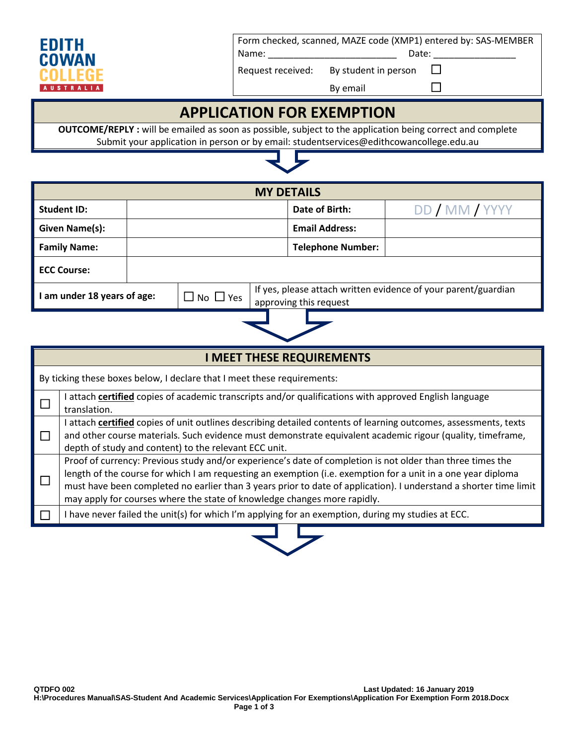

Form checked, scanned, MAZE code (XMP1) entered by: SAS-MEMBER Name: **Name:**  $\blacksquare$ 

Request received: By student in person  $\Box$ 

By email  $\Box$ 

## **APPLICATION FOR EXEMPTION**

**OUTCOME/REPLY :** will be emailed as soon as possible, subject to the application being correct and complete Submit your application in person or by email: studentservices@edithcowancollege.edu.au

| <b>MY DETAILS</b>                                                  |  |                                                                                          |  |  |                          |                |
|--------------------------------------------------------------------|--|------------------------------------------------------------------------------------------|--|--|--------------------------|----------------|
| <b>Student ID:</b>                                                 |  |                                                                                          |  |  | Date of Birth:           | DD / MM / YYYY |
| Given Name(s):                                                     |  |                                                                                          |  |  | <b>Email Address:</b>    |                |
| <b>Family Name:</b>                                                |  |                                                                                          |  |  | <b>Telephone Number:</b> |                |
| <b>ECC Course:</b>                                                 |  |                                                                                          |  |  |                          |                |
| $\blacksquare$ I am under 18 years of age:<br>$\Box$ No $\Box$ Yes |  | If yes, please attach written evidence of your parent/guardian<br>approving this request |  |  |                          |                |
|                                                                    |  |                                                                                          |  |  |                          |                |

|  | <b>I MEET THESE REQUIREMENTS</b>                                                                                                                                                                                                                                                                                                                                                                                            |  |  |  |  |
|--|-----------------------------------------------------------------------------------------------------------------------------------------------------------------------------------------------------------------------------------------------------------------------------------------------------------------------------------------------------------------------------------------------------------------------------|--|--|--|--|
|  | By ticking these boxes below, I declare that I meet these requirements:                                                                                                                                                                                                                                                                                                                                                     |  |  |  |  |
|  | attach certified copies of academic transcripts and/or qualifications with approved English language<br>translation.                                                                                                                                                                                                                                                                                                        |  |  |  |  |
|  | attach certified copies of unit outlines describing detailed contents of learning outcomes, assessments, texts<br>and other course materials. Such evidence must demonstrate equivalent academic rigour (quality, timeframe,<br>depth of study and content) to the relevant ECC unit.                                                                                                                                       |  |  |  |  |
|  | Proof of currency: Previous study and/or experience's date of completion is not older than three times the<br>length of the course for which I am requesting an exemption (i.e. exemption for a unit in a one year diploma<br>must have been completed no earlier than 3 years prior to date of application). I understand a shorter time limit<br>may apply for courses where the state of knowledge changes more rapidly. |  |  |  |  |
|  | I have never failed the unit(s) for which I'm applying for an exemption, during my studies at ECC.                                                                                                                                                                                                                                                                                                                          |  |  |  |  |

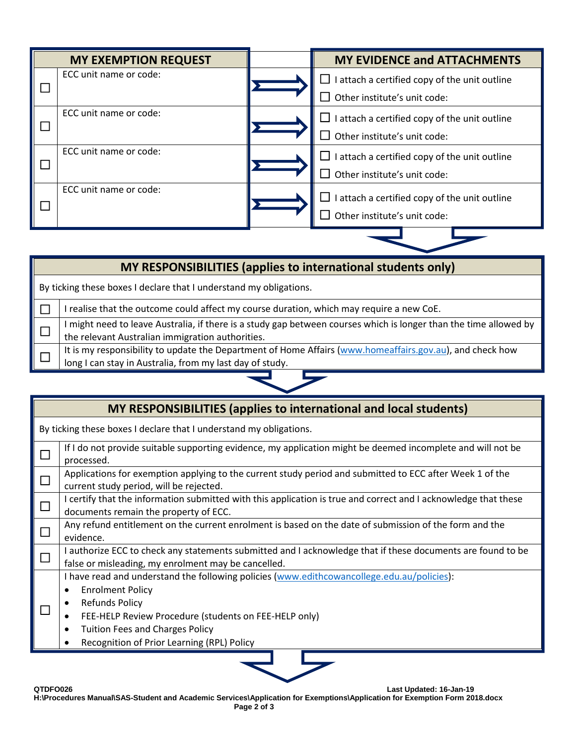| <b>MY EXEMPTION REQUEST</b> | <b>MY EVIDENCE and ATTACHMENTS</b>                                                 |  |
|-----------------------------|------------------------------------------------------------------------------------|--|
| ECC unit name or code:      | I attach a certified copy of the unit outline<br>ப<br>Other institute's unit code: |  |
| ECC unit name or code:      | I attach a certified copy of the unit outline<br>ப<br>Other institute's unit code: |  |
| ECC unit name or code:      | I attach a certified copy of the unit outline<br>Other institute's unit code:      |  |
| ECC unit name or code:      | I attach a certified copy of the unit outline<br>Other institute's unit code:      |  |

### **MY RESPONSIBILITIES (applies to international students only)**

By ticking these boxes I declare that I understand my obligations.

 $\Box$  I realise that the outcome could affect my course duration, which may require a new CoE.

 $\Box$ I might need to leave Australia, if there is a study gap between courses which is longer than the time allowed by the relevant Australian immigration authorities.

 $\Box$ It is my responsibility to update the Department of Home Affairs [\(www.homeaffairs.gov.au\)](http://www.homeaffairs.gov.au/), and check how long I can stay in Australia, from my last day of study.

#### **MY RESPONSIBILITIES (applies to international and local students)**

| By ticking these boxes I declare that I understand my obligations.                                                                                                                                                                                                                              |  |  |  |
|-------------------------------------------------------------------------------------------------------------------------------------------------------------------------------------------------------------------------------------------------------------------------------------------------|--|--|--|
| If I do not provide suitable supporting evidence, my application might be deemed incomplete and will not be<br>processed.                                                                                                                                                                       |  |  |  |
| Applications for exemption applying to the current study period and submitted to ECC after Week 1 of the<br>current study period, will be rejected.                                                                                                                                             |  |  |  |
| I certify that the information submitted with this application is true and correct and I acknowledge that these<br>documents remain the property of ECC.                                                                                                                                        |  |  |  |
| Any refund entitlement on the current enrolment is based on the date of submission of the form and the<br>evidence.                                                                                                                                                                             |  |  |  |
| I authorize ECC to check any statements submitted and I acknowledge that if these documents are found to be<br>false or misleading, my enrolment may be cancelled.                                                                                                                              |  |  |  |
| I have read and understand the following policies (www.edithcowancollege.edu.au/policies):<br><b>Enrolment Policy</b><br><b>Refunds Policy</b><br>FEE-HELP Review Procedure (students on FEE-HELP only)<br><b>Tuition Fees and Charges Policy</b><br>Recognition of Prior Learning (RPL) Policy |  |  |  |